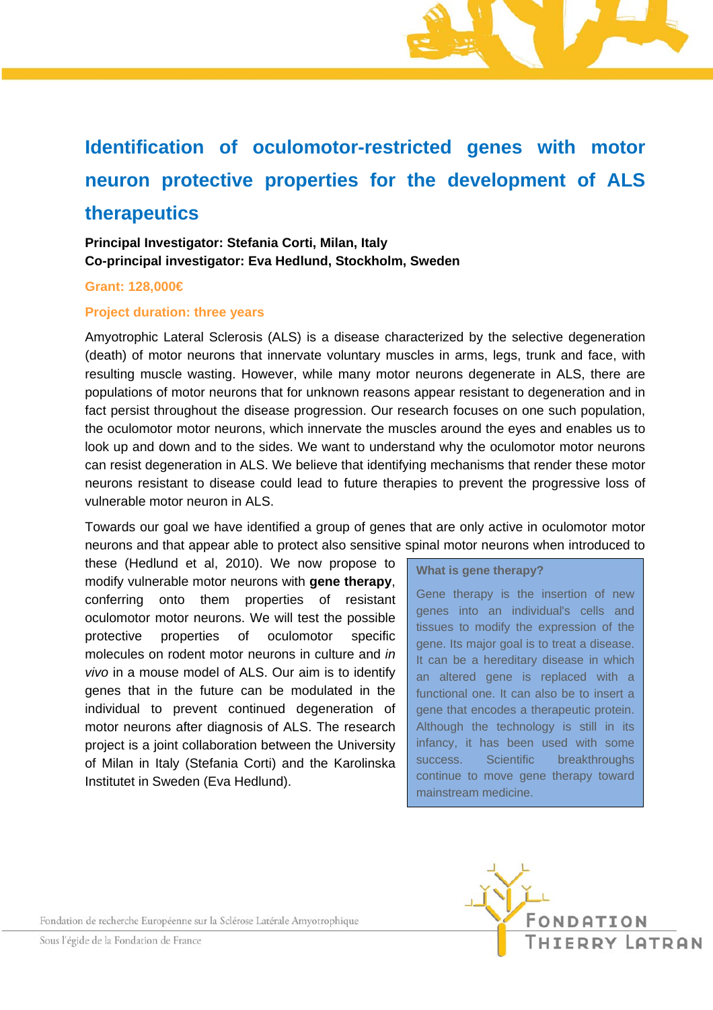# **Identification of oculomotor-restricted genes with motor neuron protective properties for the development of ALS therapeutics**

## **Principal Investigator: Stefania Corti, Milan, Italy Co-principal investigator: Eva Hedlund, Stockholm, Sweden**

#### **Grant: 128,000€**

#### **Project duration: three years**

Amyotrophic Lateral Sclerosis (ALS) is a disease characterized by the selective degeneration (death) of motor neurons that innervate voluntary muscles in arms, legs, trunk and face, with resulting muscle wasting. However, while many motor neurons degenerate in ALS, there are populations of motor neurons that for unknown reasons appear resistant to degeneration and in fact persist throughout the disease progression. Our research focuses on one such population, the oculomotor motor neurons, which innervate the muscles around the eyes and enables us to look up and down and to the sides. We want to understand why the oculomotor motor neurons can resist degeneration in ALS. We believe that identifying mechanisms that render these motor neurons resistant to disease could lead to future therapies to prevent the progressive loss of vulnerable motor neuron in ALS.

Towards our goal we have identified a group of genes that are only active in oculomotor motor neurons and that appear able to protect also sensitive spinal motor neurons when introduced to

these (Hedlund et al, 2010). We now propose to modify vulnerable motor neurons with **gene therapy**, conferring onto them properties of resistant oculomotor motor neurons. We will test the possible protective properties of oculomotor specific molecules on rodent motor neurons in culture and *in vivo* in a mouse model of ALS. Our aim is to identify genes that in the future can be modulated in the individual to prevent continued degeneration of motor neurons after diagnosis of ALS. The research project is a joint collaboration between the University of Milan in Italy (Stefania Corti) and the Karolinska Institutet in Sweden (Eva Hedlund).

#### **What is gene therapy?**

Gene therapy is the insertion of new genes into an individual's cells and tissues to modify the expression of the gene. Its major goal is to treat a disease. It can be a hereditary disease in which an altered gene is replaced with a functional one. It can also be to insert a gene that encodes a therapeutic protein. Although the technology is still in its infancy, it has been used with some success. Scientific breakthroughs continue to move gene therapy toward mainstream medicine.

Fondation de recherche Européenne sur la Sclérose Latérale Amyotrophique



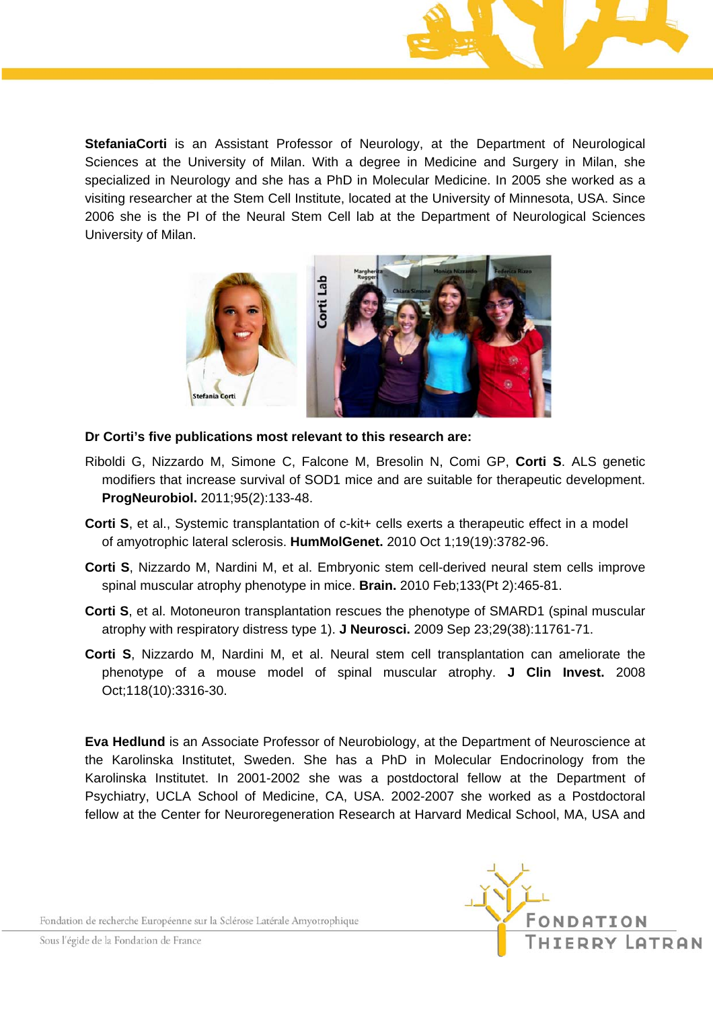

**StefaniaCorti** is an Assistant Professor of Neurology, at the Department of Neurological Sciences at the University of Milan. With a degree in Medicine and Surgery in Milan, she specialized in Neurology and she has a PhD in Molecular Medicine. In 2005 she worked as a visiting researcher at the Stem Cell Institute, located at the University of Minnesota, USA. Since 2006 she is the PI of the Neural Stem Cell lab at the Department of Neurological Sciences University of Milan.



**Dr Corti's five publications most relevant to this research are:** 

- Riboldi G, Nizzardo M, Simone C, Falcone M, Bresolin N, Comi GP, **Corti S**. ALS genetic modifiers that increase survival of SOD1 mice and are suitable for therapeutic development. **ProgNeurobiol.** 2011;95(2):133-48.
- **Corti S**, et al., Systemic transplantation of c-kit+ cells exerts a therapeutic effect in a model of amyotrophic lateral sclerosis. **HumMolGenet.** 2010 Oct 1;19(19):3782-96.
- **Corti S**, Nizzardo M, Nardini M, et al. Embryonic stem cell-derived neural stem cells improve spinal muscular atrophy phenotype in mice. **Brain.** 2010 Feb;133(Pt 2):465-81.
- **Corti S**, et al. Motoneuron transplantation rescues the phenotype of SMARD1 (spinal muscular atrophy with respiratory distress type 1). **J Neurosci.** 2009 Sep 23;29(38):11761-71.
- **Corti S**, Nizzardo M, Nardini M, et al. Neural stem cell transplantation can ameliorate the phenotype of a mouse model of spinal muscular atrophy. **J Clin Invest.** 2008 Oct;118(10):3316-30.

**Eva Hedlund** is an Associate Professor of Neurobiology, at the Department of Neuroscience at the Karolinska Institutet, Sweden. She has a PhD in Molecular Endocrinology from the Karolinska Institutet. In 2001-2002 she was a postdoctoral fellow at the Department of Psychiatry, UCLA School of Medicine, CA, USA. 2002-2007 she worked as a Postdoctoral fellow at the Center for Neuroregeneration Research at Harvard Medical School, MA, USA and

Fondation de recherche Européenne sur la Sclérose Latérale Amyotrophique